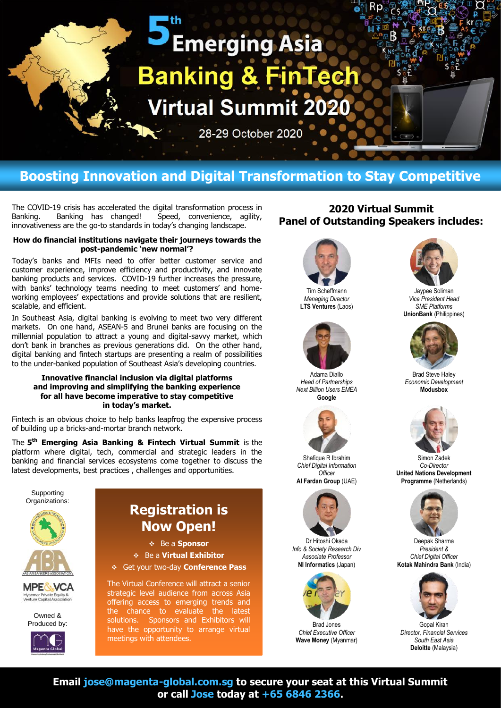# **PEmerging Asia Banking & FinTec Virtual Summit 2020**

28-29 October 2020

## **Boosting Innovation and Digital Transformation to Stay Competitive**

The COVID-19 crisis has accelerated the digital transformation process in Banking. Banking has changed! Speed, convenience, agility, innovativeness are the go-to standards in today's changing landscape.

#### **How do financial institutions navigate their journeys towards the post-pandemic 'new normal'?**

Today's banks and MFIs need to offer better customer service and customer experience, improve efficiency and productivity, and innovate banking products and services. COVID-19 further increases the pressure, with banks' technology teams needing to meet customers' and homeworking employees' expectations and provide solutions that are resilient, scalable, and efficient.

In Southeast Asia, digital banking is evolving to meet two very different markets. On one hand, ASEAN-5 and Brunei banks are focusing on the millennial population to attract a young and digital-savvy market, which don't bank in branches as previous generations did. On the other hand, digital banking and fintech startups are presenting a realm of possibilities to the under-banked population of Southeast Asia's developing countries.

#### **Innovative financial inclusion via digital platforms and improving and simplifying the banking experience for all have become imperative to stay competitive in today's market.**

Fintech is an obvious choice to help banks leapfrog the expensive process of building up a bricks-and-mortar branch network.

The **5 th Emerging Asia Banking & Fintech Virtual Summit** is the platform where digital, tech, commercial and strategic leaders in the banking and financial services ecosystems come together to discuss the latest developments, best practices , challenges and opportunities.



## **2020 Virtual Summit Panel of Outstanding Speakers includes:**



Tim Scheffmann *Managing Director* **LTS Ventures** (Laos)



Adama Diallo *Head of Partnerships Next Billion Users EMEA* **Google**



Shafique R Ibrahim *Chief Digital Information Officer* **Al Fardan Group** (UAE)



Dr Hitoshi Okada *Info & Society Research Div Associate Professor* **NI Informatics** (Japan)



Brad Jones *Chief Executive Officer* **Wave Money** (Myanmar)



Jaypee Soliman *Vice President Head SME Platforms* **UnionBank** (Philippines)



Brad Steve Haley *Economic Development* **Modusbox**



Simon Zadek *Co-Director* **United Nations Development Programme** (Netherlands)



Deepak Sharma *President & Chief Digital Officer* **Kotak Mahindra Bank** (India)



Gopal Kiran *Director, Financial Services South East Asia* **Deloitte** (Malaysia)

**Email jose@magenta-global.com.sg to secure your seat at this Virtual Summit or call Jose today at +65 6846 2366.**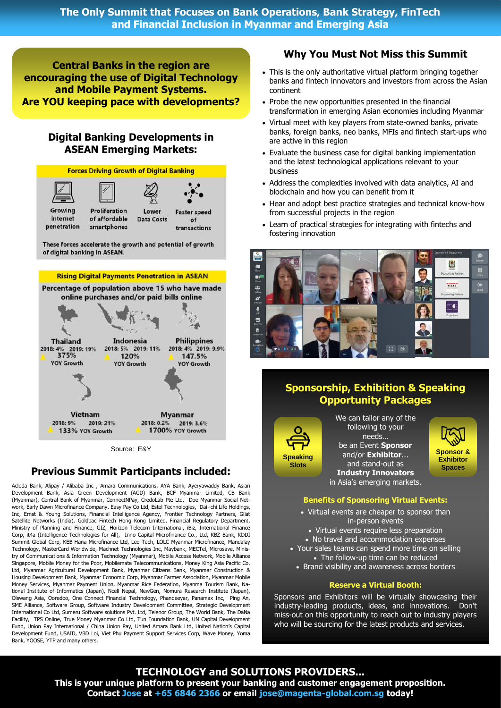**The Only Summit that Focuses on Bank Operations, Bank Strategy, FinTech and Financial Inclusion in Myanmar and Emerging Asia**

**Central Banks in the region are encouraging the use of Digital Technology and Mobile Payment Systems. Are YOU keeping pace with developments?**

## **Digital Banking Developments in ASEAN Emerging Markets:**



Source: E&Y

## **Previous Summit Participants included:**

Acleda Bank, Alipay / Alibaba Inc , Amara Communications, AYA Bank, Ayeryawaddy Bank, Asian Development Bank, Asia Green Development (AGD) Bank, BCF Myanmar Limited, CB Bank (Myanmar), Central Bank of Myanmar, ConnectNPay, CredoLab Pte Ltd, Doe Myanmar Social Network, Early Dawn Microfinance Company. Easy Pay Co Ltd, Estel Technologies, Dai-ichi Life Holdings, Inc, Ernst & Young Solutions, Financial Intelligence Agency, Frontier Technology Partners, Gilat Satellite Networks (India), Goldpac Fintech Hong Kong Limited, Financial Regulatory Department, Ministry of Planning and Finance, GIZ, Horizon Telecom International, iBiz, International Finance Corp, it4a (Intelligence Technologies for All), Inno Capital Microfinance Co., Ltd, KBZ Bank, KDDI Summit Global Corp, KEB Hana Microfinance Ltd, Leo Tech, LOLC Myanmar Microfinance, Mandalay Technology, MasterCard Worldwide, Machnet Technologies Inc, Maybank, MECTel, Microsave, Ministry of Communications & Information Technology (Myanmar), Mobile Access Network, Mobile Alliance Singapore, Mobile Money for the Poor, Mobilemate Telecommunications, Money King Asia Pacific Co. Ltd, Myanmar Agricultural Development Bank, Myanmar Citizens Bank, Myanmar Construction & Housing Development Bank, Myanmar Economic Corp, Myanmar Farmer Association, Myanmar Mobile Money Services, Myanmar Payment Union, Myanmar Rice Federation, Myanma Tourism Bank, National Institute of Informatics (Japan), Ncell Nepal, NewGen, Nomura Research Institute (Japan), Olswang Asia, Ooredoo, One Connect Financial Technology, Phandeeyar, Panamax Inc, Ping An, SME Alliance, Software Group, Software Industry Development Committee, Strategic Development International Co Ltd, Sumeru Software solutions Pvt. Ltd, Telenor Group, The World Bank, The DaNa Facility, TPS Online, True Money Myanmar Co Ltd, Tun Foundation Bank, UN Capital Development Fund, Union Pay International / China Union Pay, United Amara Bank Ltd, United Nation's Capital Development Fund, USAID, VBD Loi, Viet Phu Payment Support Services Corp, Wave Money, Yoma Bank, YOOSE, YTP and many others.

## **Why You Must Not Miss this Summit**

- This is the only authoritative virtual platform bringing together banks and fintech innovators and investors from across the Asian continent
- Probe the new opportunities presented in the financial transformation in emerging Asian economies including Myanmar
- Virtual meet with key players from state-owned banks, private banks, foreign banks, neo banks, MFIs and fintech start-ups who are active in this region
- Evaluate the business case for digital banking implementation and the latest technological applications relevant to your business
- Address the complexities involved with data analytics, AI and blockchain and how you can benefit from it
- Hear and adopt best practice strategies and technical know-how from successful projects in the region
- Learn of practical strategies for integrating with fintechs and fostering innovation



## **Sponsorship, Exhibition & Speaking Opportunity Packages**



We can tailor any of the following to your needs… be an Event **Sponsor**  and/or **Exhibitor**... and stand-out as **Industry Innovators** in Asia's emerging markets.



#### **Benefits of Sponsoring Virtual Events:**

- Virtual events are cheaper to sponsor than in-person events
- Virtual events require less preparation
- No travel and accommodation expenses
- Your sales teams can spend more time on selling • The follow-up time can be reduced
	- Brand visibility and awareness across borders

#### **Reserve a Virtual Booth:**

Sponsors and Exhibitors will be virtually showcasing their industry-leading products, ideas, and innovations. Don't miss-out on this opportunity to reach out to industry players who will be sourcing for the latest products and services.

#### **TECHNOLOGY and SOLUTIONS PROVIDERS...**

**This is your unique platform to present your banking and customer engagement proposition. Contact Jose at +65 6846 2366 or email jose@magenta-global.com.sg today!**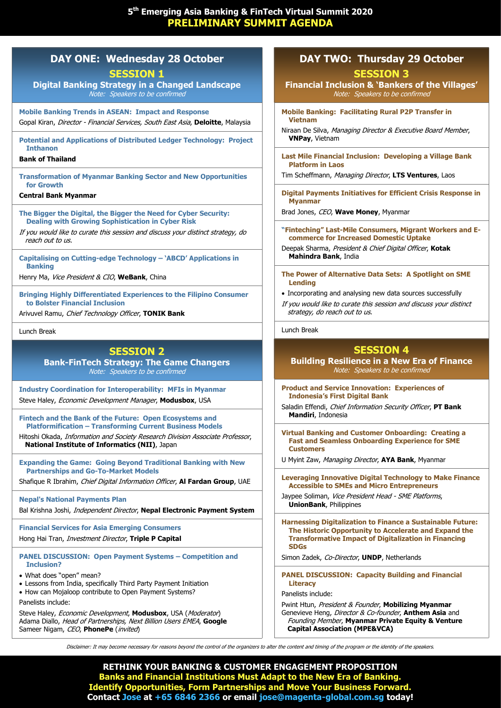## **DAY ONE: Wednesday 28 October**

**SESSION 1**

**Digital Banking Strategy in a Changed Landscape** Note: Speakers to be confirmed

**Mobile Banking Trends in ASEAN: Impact and Response**  Gopal Kiran, Director - Financial Services, South East Asia, **Deloitte**, Malaysia

**Potential and Applications of Distributed Ledger Technology: Project Inthanon**

#### **Bank of Thailand**

**Transformation of Myanmar Banking Sector and New Opportunities for Growth**

#### **Central Bank Myanmar**

**The Bigger the Digital, the Bigger the Need for Cyber Security: Dealing with Growing Sophistication in Cyber Risk** 

If you would like to curate this session and discuss your distinct strategy, do reach out to us.

**Capitalising on Cutting-edge Technology – 'ABCD' Applications in Banking**

Henry Ma, Vice President & CIO, **WeBank**, China

**Bringing Highly Differentiated Experiences to the Filipino Consumer to Bolster Financial Inclusion**

Arivuvel Ramu, Chief Technology Officer, **TONIK Bank** 

Lunch Break

## **SESSION 2**

**Bank-FinTech Strategy: The Game Changers** Note: Speakers to be confirmed

**Industry Coordination for Interoperability: MFIs in Myanmar** Steve Haley, Economic Development Manager, **Modusbox**, USA

**Fintech and the Bank of the Future: Open Ecosystems and Platformification – Transforming Current Business Models**

Hitoshi Okada, Information and Society Research Division Associate Professor, **National Institute of Informatics (NII)**, Japan

**Expanding the Game: Going Beyond Traditional Banking with New Partnerships and Go-To-Market Models** 

Shafique R Ibrahim, Chief Digital Information Officer, **Al Fardan Group**, UAE

#### **Nepal's National Payments Plan**

Bal Krishna Joshi, Independent Director, **Nepal Electronic Payment System**

**Financial Services for Asia Emerging Consumers** Hong Hai Tran, Investment Director, **Triple P Capital**

#### **PANEL DISCUSSION: Open Payment Systems – Competition and Inclusion?**

What does "open" mean?

- Lessons from India, specifically Third Party Payment Initiation
- How can Mojaloop contribute to Open Payment Systems?

Panelists include:

Steve Haley, *Economic Development*, Modusbox, USA (Moderator) Adama Diallo, Head of Partnerships, Next Billion Users EMEA, **Google** Sameer Nigam, CEO, PhonePe (invited)

## **DAY TWO: Thursday 29 October**

**SESSION 3**

**Financial Inclusion & 'Bankers of the Villages'** Note: Speakers to be confirmed

**Mobile Banking: Facilitating Rural P2P Transfer in Vietnam**

Niraan De Silva, Managing Director & Executive Board Member, **VNPay**, Vietnam

**Last Mile Financial Inclusion: Developing a Village Bank Platform in Laos**

Tim Scheffmann, Managing Director, **LTS Ventures**, Laos

**Digital Payments Initiatives for Efficient Crisis Response in Myanmar**

Brad Jones, CEO, **Wave Money**, Myanmar

**"Finteching" Last-Mile Consumers, Migrant Workers and Ecommerce for Increased Domestic Uptake**

Deepak Sharma, President & Chief Digital Officer, **Kotak Mahindra Bank**, India

**The Power of Alternative Data Sets: A Spotlight on SME Lending**

• Incorporating and analysing new data sources successfully

If you would like to curate this session and discuss your distinct strategy, do reach out to us.

Lunch Break

## **SESSION 4**

#### **Building Resilience in a New Era of Finance** Note: Speakers to be confirmed

**Product and Service Innovation: Experiences of Indonesia's First Digital Bank** 

Saladin Effendi, Chief Information Security Officer, **PT Bank Mandiri**, Indonesia

**Virtual Banking and Customer Onboarding: Creating a Fast and Seamless Onboarding Experience for SME Customers**

U Myint Zaw, Managing Director, **AYA Bank**, Myanmar

**Leveraging Innovative Digital Technology to Make Finance Accessible to SMEs and Micro Entrepreneurs**

Jaypee Soliman, Vice President Head - SME Platforms, **UnionBank**, Philippines

**Harnessing Digitalization to Finance a Sustainable Future: The Historic Opportunity to Accelerate and Expand the Transformative Impact of Digitalization in Financing SDGs**

Simon Zadek, Co-Director, **UNDP**, Netherlands

**PANEL DISCUSSION: Capacity Building and Financial Literacy**

Panelists include:

Pwint Htun, President & Founder, **Mobilizing Myanmar** Genevieve Heng, Director & Co-founder, **Anthem Asia** and Founding Member, **Myanmar Private Equity & Venture Capital Association (MPE&VCA)**

Disclaimer: It may become necessary for reasons beyond the control of the organizers to alter the content and timing of the program or the identity of the speakers.

**RETHINK YOUR BANKING & CUSTOMER ENGAGEMENT PROPOSITION Banks and Financial Institutions Must Adapt to the New Era of Banking. Identify Opportunities, Form Partnerships and Move Your Business Forward. Contact Jose at +65 6846 2366 or email jose@magenta-global.com.sg today!**